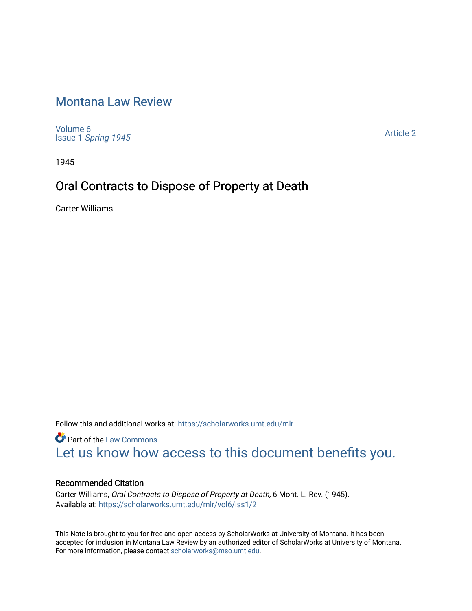# [Montana Law Review](https://scholarworks.umt.edu/mlr)

[Volume 6](https://scholarworks.umt.edu/mlr/vol6) Issue 1 [Spring 1945](https://scholarworks.umt.edu/mlr/vol6/iss1) 

[Article 2](https://scholarworks.umt.edu/mlr/vol6/iss1/2) 

1945

## Oral Contracts to Dispose of Property at Death

Carter Williams

Follow this and additional works at: [https://scholarworks.umt.edu/mlr](https://scholarworks.umt.edu/mlr?utm_source=scholarworks.umt.edu%2Fmlr%2Fvol6%2Fiss1%2F2&utm_medium=PDF&utm_campaign=PDFCoverPages) 

**Part of the [Law Commons](http://network.bepress.com/hgg/discipline/578?utm_source=scholarworks.umt.edu%2Fmlr%2Fvol6%2Fiss1%2F2&utm_medium=PDF&utm_campaign=PDFCoverPages)** [Let us know how access to this document benefits you.](https://goo.gl/forms/s2rGfXOLzz71qgsB2) 

## Recommended Citation

Carter Williams, Oral Contracts to Dispose of Property at Death, 6 Mont. L. Rev. (1945). Available at: [https://scholarworks.umt.edu/mlr/vol6/iss1/2](https://scholarworks.umt.edu/mlr/vol6/iss1/2?utm_source=scholarworks.umt.edu%2Fmlr%2Fvol6%2Fiss1%2F2&utm_medium=PDF&utm_campaign=PDFCoverPages)

This Note is brought to you for free and open access by ScholarWorks at University of Montana. It has been accepted for inclusion in Montana Law Review by an authorized editor of ScholarWorks at University of Montana. For more information, please contact [scholarworks@mso.umt.edu.](mailto:scholarworks@mso.umt.edu)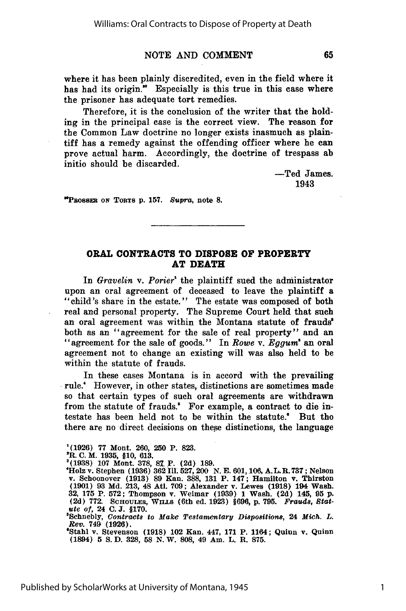## **NOTE AND COMMENT**

where it has been plainly discredited, even in the field where it has had its origin." Especially is this true in this case where the prisoner has adequate tort remedies.

Therefore, it is the conclusion of the writer that the holding in the principal case is the correct view. The reason for the Common Law doctrine no longer exists inasmuch as plaintiff has a remedy against the offending officer where he can prove actual harm. Accordingly, the doctrine of trespass ab initio should be discarded.

> -Ted James. 1943

**"PRossER ON** TORTS **p. 157.** Supra, note **8.**

### **ORAL CONTRACTS TO DISPOSE OF PROPERTY AT DEATH**

In *Gravelin v. Porier'* the plaintiff sued the administrator upon an oral agreement of deceased to leave the plaintiff a "child's share in the estate." The estate was composed of both real and personal property. The Supreme Court held that such an oral agreement was within the Montana statute of **frauds'** both as an "agreement for the sale of real property" and an "agreement for the sale of goods." In *Rowe v. Eggum'* an oral agreement not to change an existing will was also held to be within the statute of frauds.

In these cases Montana is in accord with the prevailing rule.' However, in other states, distinctions are sometimes made so that certain types of such oral agreements are withdrawn from the statute of frauds." For example, a contract to die intestate has been held not to be within the statute.' But tho there are no direct decisions on these distinctions, the language

**'(1926) 77** Mont. **260, 250** P. **823.**

**2R. C.** M. **1935, §10, 613. '(1938) 107** Mont. **378, 81** P. **(2d) 189.** 'Holz v. Stephen **(1936) 362 Ill. 527,** 200 **N. E. 601,106, A.** L. **R. 737;** Nelson v. Schoonover **(1913) 89** Kan. **388, 131** P. 147; Hamilton v. Thirston **(1901) 93 Md. 213,** 48 Atl. **709;** Alexander v. Lewes **(1918)** 194 Wash. **32, 175** P. **572;** Thompson v. Weimar **(1939) 1** Wash. **(2d)** 145, **95 p. (2d) 772.** ScHouLEa, **WrLLs** (6th ed. **1923) §696, p. 795.** *Frauds, Stat- ute of,* 24 **C.J. §170.**

8Schnebly, *Contract8 to Make Te8tarnentary Dispositions,* 24 *Mich. L. Rev.* 749 **(1926).**

'Stahl v. Stevenson **(1918)** 102 Kan. 447, **171** P. 1164; Quinn v. Quinn (1894) **5 S.D. 328, 58 N.W. 808,** 49 Am. L. **R. 875.**

1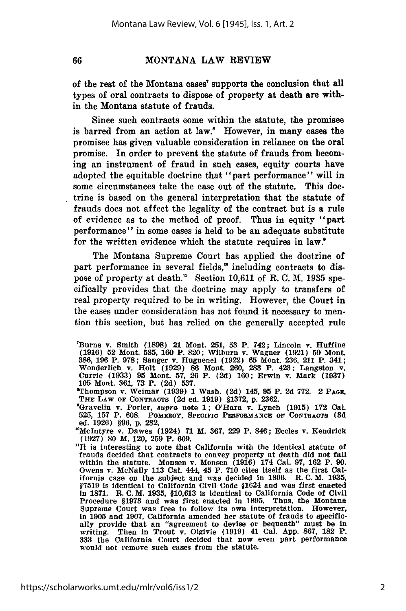66

## **MONTANA** LAW REVIEW

of the rest of the Montana cases' supports the conclusion that all types of oral contracts to dispose of property at death are within the Montana statute of frauds.

Since such contracts come within the statute, the promisee is barred from an action at law.' However, in many cases the promisee has given valuable consideration in reliance on the oral promise. In order to prevent the statute of frauds from becoming an instrument of fraud in such cases, equity courts have adopted the equitable doctrine that "part performance" will in some circumstances take the case out of the statute. This doctrine is based on the general interpretation that the statute of frauds does not affect the legality of the contract but is a rule of evidence as to the method of proof. Thus in equity "part performance" in some cases is held to be an adequate substitute for the written evidence which the statute requires in law.'

The Montana Supreme Court has applied the doctrine of part performance in several fields,"° including contracts to dispose of property at death.11 Section **10,611** of R. **C.** M. **1935** specifically provides that the doctrine may apply to transfers of real property required to be in writing. However, the Court in the cases under consideration has not found it necessary to mention this section, but has relied on the generally accepted rule

<sup>&#</sup>x27;Burns v. Smith **(1898)** 21 Mont. **251, 53 P.** 742; Lincoln **v. Huffine (1916) 52** Mont. **585, 160** P. **820;** Wilburn v. Wagner **(1921) 59** Mont. **386, 196** P. **978;** Sanger v. Huguenel (1922) **65** Mont. **236,** 211 P. 341; Wonderlich v. Holt **(1929) 86** Mont. **260, 283** P. 423; Langston v. Currie **(1933) 95** Mont. **57, 26** P. **(2d) 160;** Erwin v. Mark **(1937) 105** Mont. **361, 73** P. **(2d) 537.**

<sup>&</sup>quot;Thompson v. Weimar **(1939) 1** Wash. **(2d)** 145, **95** P. **2d 772.** 2 **PAGE, THE LAW OF CONTRACTS (2d** ed. **1919) §1372, p. 2362.**

<sup>&#</sup>x27;Gravelin v. Porier, *supra* note **1;** O'Hara v. Lynch **(1915) 172** Cal. **525, 157** P. **608. POMEROY, SPECIFIC PERFORMANCE OF CONTRACTS (3d** ed. **1926)** §96, **p. 232.**

<sup>1°</sup>McIntyre v. Dawes (1924) **71** M. **367, 229** P. 846; Eccles v. Kendrick **(1927) 80** M. 120, **259** P. **609.**

<sup>&</sup>quot;It is interesting to note that California with the Identical statute **of** frauds decided that contracts to convey property at death did not fall within the statute. Monsen v. Monsen **(1916)** 174 Cal. **97, 162** P. **90.** Owens **v. McNally 113 Cal. 444, 45 P. 710 cites itself as the first Cal-<br>ifornia case on the subject and was decided in 1896. R. C. M. 1935,** §7519 is identical to California Civil Code §1624 and was first enacted in **1871. R. C.** M. **1935, §10,613** is identical to California Code of Civil Procedure **§1973** and was first enacted in **1895.** Thus, the Montana Supreme Court was free to follow its own interpretation. However, in **1905** and **1907,** California amended her statute of frauds to specifically provide that an "agreement to devise or bequeath" must be in writing. Then In Trout v. Olgivie **(1919)** 41 Cal. **App. 867, 182** P. **<sup>333</sup>**the California Court decided that now even part performance would not remove such cases from the statute.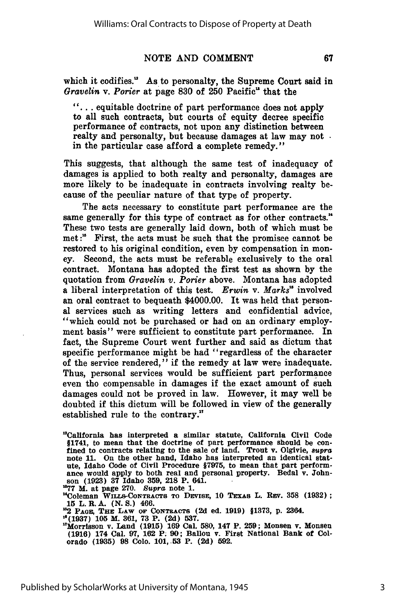#### **NOTE AND COMMENT**

which it codifies." As to personalty, the Supreme Court said in *Gravelin v. Porier* at page **830** of **250** Pacific" that the

**"...** equitable doctrine of part performance does not apply to all such contracts, but courts of equity decree specific performance of contracts, not upon any distinction between realty and personalty, but because damages at law may not. in the particular case afford a complete remedy."

This suggests, that although the same test of inadequacy of damages is applied to both realty and personalty, damages are more likely to be inadequate in contracts involving realty because of the peculiar nature of that type of property.

The acts necessary to constitute part performance are the same generally for this type of contract as for other contracts." These two tests are generally laid down, both of which must be met:" First, the acts must be such that the promisee cannot be restored to his original condition, even **by** compensation in money. Second, the acts must **be** referable exclusively to the oral contract. Montana has adopted the first test as shown **by** the quotation from *Gravelin v. Porier* above. Montana has adopted a liberal interpretation of this test. *Erwin* v. *Marks"* involved an oral contract to bequeath \$4000.00. It was held that personal services such as writing letters and confidential advice, "which could not be purchased or had on an ordinary employment basis" were sufficient to constitute part performance. In fact, the Supreme Court went further and said as dictum that specific performance might be had "regardless of the character of the service rendered," if the remedy at law were inadequate. Thus, personal services would be sufficient part performance even tho compensable in damages if the exact amount of such damages could not be proved in law. However, it may well be doubted if this dictum will be followed in view of the generally established rule to the **contrary."**

"California has interpreted a similar statute, California Civil Code §1741, to mean that the doctrine of part performance should be con- fined to contracts relating to the sale of land. Trout v. Olgivie, supra note 11. On the other hand, Idaho has interpreted an identical stature, Idaho Code of Civil Procedure §7975, to mean that part performance would apply to both real and personal property. Bedal v. Johnson (1923) 37 Idaho 359, 218 P. 641.

"77 M. at page **270.** *Supra* note **1.**

<sup>14</sup>Coleman WILLS-CONTRACTS TO DEVISE, 10 TEXAS L. REV. 358 (1932); **15** L.R.A. **(N.S.)** 466.

"2 **PAGE, THE LAW OF CONTRACTS (2d** ed. **1919) §1373, p.** 2364. **"(1937) 105** M. **361, 73** P. **(2d) 537.**

l'Morrisson v. Land **(1915) 169 Cal. 580,** 147 P. **259;** Monsen v. Monsen **(1916)** 174 Cal. **97, 162** P. **90;** Ballou v. First National Bank of Colorado **(1935) 98** Colo. **101,53** P. **(2d) 592.**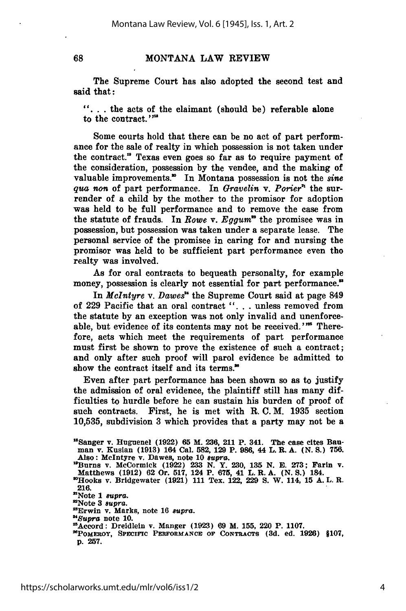68

#### **MONTANA** LAW REVIEW

The Supreme Court has also adopted the second test and said that:

**".. .** the acts of the claimant (should be) referable alone to the contract.""

Some courts hold that there can be no act of part performance for the sale of realty in which possession is not taken under the contract." Texas even goes so far as to require payment of the consideration, possession **by** the vendee, and the making of valuable improvements.<sup>80</sup> In Montana possession is not the *sine qua non* of part performance. In *Gravelin v. Porier*<sup>n</sup> the surrender of a child by the mother to the promisor for adoption was held to be full performance and to remove the case from the statute of frauds. In *Rowe* v. *Eggum"* the promisee was in possession, but possession was taken under a separate lease. The personal service of the promisee in caring for and nursing the promisor was held to be sufficient part performance even tho realty was involved.

As for oral contracts to bequeath personalty, for example money, possession is clearly not essential for part performance."

In *McIntyre* v. *Dawes!'* the Supreme Court said at page 849 of 229 Pacific that an oral contract ". **.** . unless removed from the statute by an exception was not only invalid and unenforceable, but evidence of its contents may not be received."<sup>55</sup> Therefore, acts which meet the requirements of part performance must first be shown to prove the existence of such a contract; and only after such proof will parol evidence be admitted to show the contract itself and its terms.<sup>30</sup>

Even after part performance has been shown so as to justify the admission of oral evidence, the plaintiff still has many difficulties to hurdle before he can sustain his burden of proof of such contracts. First, he is met with R. **C.** M. 1935 section 10,535, subdivision 3 which provides that a party may not be a

<sup>8</sup>Sanger **v. Huguenel (1922) 65 M. 236, 211 P. 341. The case cites Bauman v. Kusian (1913) 164 Cal. 582, 129 P. 986, 44 L. R. A. (N. S.) 756. Also: McIntyre v. Dawes, note 10** supra.

**<sup>&</sup>quot;Burns v. McCormick (1922) 233 N. Y. 230, 135 N. E. 273; Farin v.** Matthews (1912) 62 Or. 517, 124 P. 675, 41 L. R. A. (N. S.) 184.<br>
<sup>20</sup>Hooks v. Bridgewater (1921) 111 Tex. 122, 229 S. W. 114, 15 A. L. R.

**<sup>216.</sup>**

<sup>&</sup>quot;Note **1** *supra.* "Note **3** supra.

<sup>&</sup>quot;Erwin v. **Marks,** note **16** *supra.*

*<sup>&</sup>quot;'Supra* note **10.** "Accord: Dreidlein v. Manger **(1923) 69** M. **155,** 220 P. **1107.**

**<sup>&</sup>quot;POMEROY, SPECIFIC** PERFORMANCE **OF CONTRACTS (3d. ed. 1926) §107, p. 257.**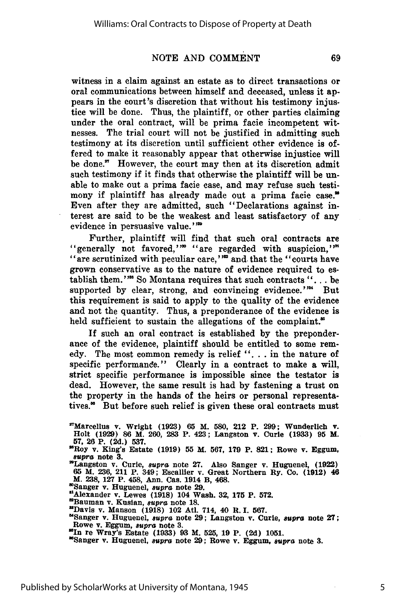### NOTE AND COMMENT

69

witness in a claim against an estate as to direct transactions or oral communications between himself and deceased, unless it appears in the court's discretion that without his testimony injustice will be done. Thus, the plaintiff, or other parties claiming under the oral contract, will be prima facie incompetent witnesses. The trial court will not be justified in admitting such testimony at its discretion until sufficient other evidence is offered to make it reasonably appear that otherwise injustice will be done." However, the court may then at its discretion admit such testimony if it finds that otherwise the plaintiff will be unable to make out a prima facie case, and may refuse such testimony if plaintiff has already made out a prima facie case." Even after they are admitted, such "Declarations against interest are said to be the weakest and least satisfactory of any evidence in persuasive value."<sup>220</sup>

Further, plaintiff will find that such oral contracts are "generally not favored,"<sup>"</sup> "are regarded with suspicion,"<sup>"</sup> "are scrutinized with peculiar care,"<sup>22</sup> and that the "courts have grown conservative as to the nature of evidence required to establish them."<sup>28</sup> So Montana requires that such contracts "... be supported by clear, strong, and convincing evidence.'" But this requirement is said to apply to the quality of the evidence and not the quantity. Thus, a preponderance of the evidence is held sufficient to sustain the allegations of the complaint."

If such an oral contract is established by the preponderance of the evidence, plaintiff should be entitled to some remedy. The most common remedy is relief ". **.** . in the nature of specific performande." Clearly in a contract to make a will, strict specific performance is impossible since the testator is dead. However, the same result is had by fastening a trust on the property in the hands of the heirs or personal representatives.<sup>\*</sup> But before such relief is given these oral contracts must

"Roy v. King's Estate **(1919) 55** M. **567, 179** P. **821;** Rowe v. Eggum, **supra** note **3.**

'Sanger v. Huguenel, *supra* note **29.**

"Alexander v. Lewes **(1918)** 104 Wash. **32, 175** P. **572.**

'Bauman v. Kusian, *supra* note **18.** Davis v. Manson **(1918)** 102 Atl. 714, 40 **R. I. 567.**

'Sanger v. Huguenel, *supra* note **29;** Langston v. Curie, *supra* note **27;** Rowe v. Eggum, *supra* note **3.**

"Sanger v. Huguenel, *supra* note **29;** Rowe v. Eggum, *supra* note **3.**

5

<sup>&#</sup>x27;"Marcellus v. Wright **(1923) 65** M. 580, 212 P. **299;** Wunderlich **v.** Holt **(1929) 86** M. **260, 283** P. 423; Langston **v.** Curie **(1933) 95** M. **57, 26** P. **(2d.) 537.**

<sup>&</sup>quot;Langston v. Curie, supra note **27.** Also Sanger v. Huguenel, **(1922) <sup>65</sup>**M. **236,** 211 P. 349; Escallier v. Great Northern Ry. Co. (1912) **<sup>46</sup>** M. **238, 127** P. 458, Ann. Cas. 1914 B, 468.

**uin** re Wray's Estate **(1933) 93** M. **525, 19** P. **(2d) 1051.**